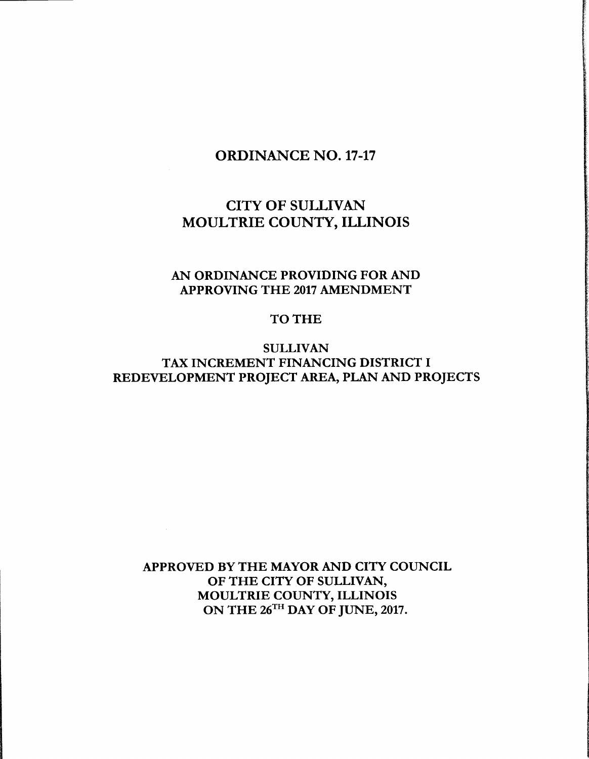# ORDINANCE NO. 17-17

# CITY OF SULLIVAN MOULTRIE COUNTY, ILLINOIS

## AN ORDINANCE PROVIDING FOR AND APPROVING THE <sup>2017</sup> AMENDMENT

## TO THE

## SULLIVAN TAX INCREMENT FINANCING DISTRICT I REDEVELOPMENT PROJECT AREA, PLAN AND PROJECTS

APPROVED BY THE MAYOR AND CITY COUNCIL OF THE CITY OF SULLIVAN, MOULTRIE COUNTY, ILLINOIS ON THE 26<sup>TH</sup> DAY OF JUNE, 2017.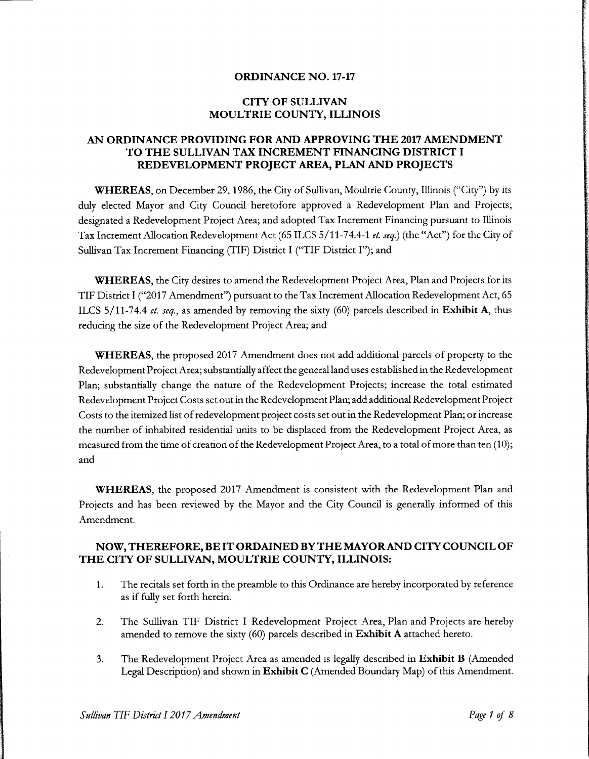#### ORDINANCE NO. 17-17

#### CITY OF SULLIVAN MOULTRIE COUNTY, ILLINOIS

### AN ORDINANCE PROVIDING FOR AND APPROVING THE 2017 AMENDMENT TO THE SULLIVAN TAX INCREMENT FINANCING DISTRICT I REDEVELOPMENT PROJECT AREA, PLAN AND PROJECTS

**WHEREAS**, on December 29, 1986, the City of Sullivan, Moultrie County, Illinois ("City") by its duly elected Mayor and City Council heretofore approved a Redevelopment Plan and Projects; designated a Redevelopment Project Area; and adopted Tax Increment Financing pursuant to Illinois Tax Increment Allocation Redevelopment Act (65 ILCS 5/11-74.4-1 et. seq.) (the "Act") for the City of Sullivan Tax Increment Financing (TIF) District I ("TIF District I"); and

WHEREAS, the City desires to amend the Redevelopment Project Area, Plan and Projects for its TIF District I ("2017 Amendment") pursuant to the Tax Increment Allocation Redevelopment Act, 65 ILCS  $5/11$ -74.4 et. seq., as amended by removing the sixty (60) parcels described in **Exhibit A**, thus reducing the size of the Redevelopment Project Area; and

WHEREAS, the proposed 2017 Amendment does not add additional parcels of property to the Redevelopment Project Area; substantially affect the general land uses established in the Redevelopment Plan; substantially change the nature of the Redevelopment Projects; increase the total estimated Redevelopment Project Costs set out in the Redevelopment Plan; add additional Redevelopment Project Costs to the itemized list ofredevelopment project costs set out in the Redevelopment Plan; or increase the number of inhabited residential units to be displaced from the Redevelopment Project Area, as measured from the time of creation of the Redevelopment Project Area, to a total of more than ten (10); and

WHEREAS, the proposed 2017 Amendment is consistent with the Redevelopment Plan and Projects and has been reviewed by the Mayor and the City Council is generally informed of this Amendment.

### NOW,THEREFORE, BE IT ORDAINED BY THE MAYOR AND CITYCOUNCIL OF THE CITY OF SULLIVAN, MOULTRIE COUNTY, ILLINOIS:

- 1. The recitals set forth in the preamble to this Ordinance are hereby incorporated by reference as if fully set forth herein.
- 2. The Sullivan TIF District I Redevelopment Project Area, Plan and Projects are hereby amended to remove the sixty  $(60)$  parcels described in Exhibit A attached hereto.
- 3. The Redevelopment Project Area as amended is legally described in Exhibit B (Amended Legal Description) and shown in Exhibit C( Amended Boundary Map) of this Amendment.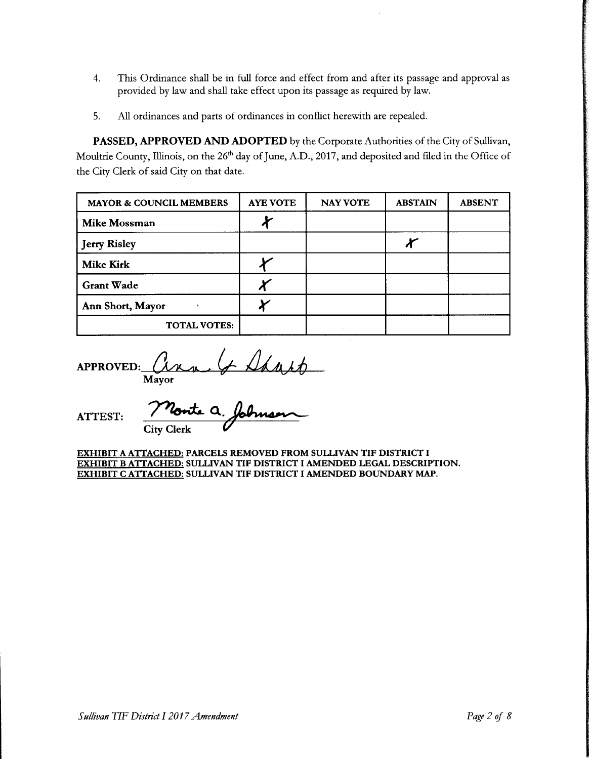- 4. This Ordinance shall be in full force and effect from and after its passage and approval as provided by law and shall take effect upon its passage as required by law.
- 5. All ordinances and parts of ordinances in conflict herewith are repealed.

PASSED, APPROVED AND ADOPTED by the Corporate Authorities of the City of Sullivan, Moultrie County, Illinois, on the 26<sup>th</sup> day of June, A.D., 2017, and deposited and filed in the Office of the City Clerk of said City on that date.

| <b>MAYOR &amp; COUNCIL MEMBERS</b> | <b>AYE VOTE</b> | <b>NAY VOTE</b> | <b>ABSTAIN</b> | <b>ABSENT</b> |
|------------------------------------|-----------------|-----------------|----------------|---------------|
| <b>Mike Mossman</b>                |                 |                 |                |               |
| <b>Jerry Risley</b>                |                 |                 |                |               |
| <b>Mike Kirk</b>                   |                 |                 |                |               |
| <b>Grant Wade</b>                  |                 |                 |                |               |
| Ann Short, Mayor                   |                 |                 |                |               |
| <b>TOTAL VOTES:</b>                |                 |                 |                |               |

APPROVED:  $(x_{k+1}, y_{k+2})$ Mayor

ATTEST: / Conte a City Clerk

EXHIBIT A ATTACHED: PARCELS REMOVED FROM SULLIVAN TIF DISTRICT I EXHIBIT B ATTACHED: SULLIVAN TIF DISTRICT I AMENDED LEGAL DESCRIPTION. EXHIBIT C ATTACHED: SULLIVAN TIF DISTRICT I AMENDED BOUNDARY MAP.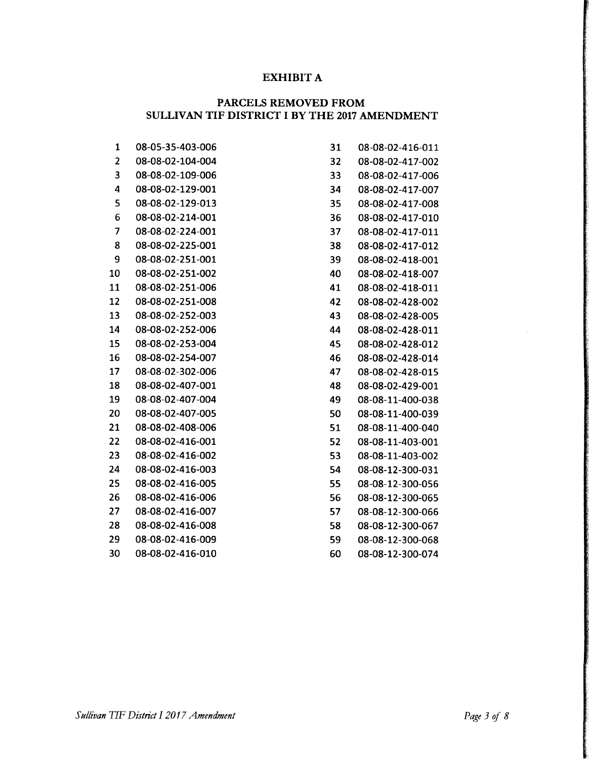### EXHIBIT A

### PARCELS REMOVED FROM SULLIVAN TIF DISTRICT I BY THE <sup>2017</sup> AMENDMENT

| $\mathbf{1}$            | 08-05-35-403-006 | 31 | 08-08-02-416-011 |
|-------------------------|------------------|----|------------------|
| $\overline{\mathbf{c}}$ | 08-08-02-104-004 | 32 | 08-08-02-417-002 |
| 3                       | 08-08-02-109-006 | 33 | 08-08-02-417-006 |
| 4                       | 08-08-02-129-001 | 34 | 08-08-02-417-007 |
| 5                       | 08-08-02-129-013 | 35 | 08-08-02-417-008 |
| 6                       | 08-08-02-214-001 | 36 | 08-08-02-417-010 |
| 7                       | 08-08-02-224-001 | 37 | 08-08-02-417-011 |
| 8                       | 08-08-02-225-001 | 38 | 08-08-02-417-012 |
| 9                       | 08-08-02-251-001 | 39 | 08-08-02-418-001 |
| 10                      | 08-08-02-251-002 | 40 | 08-08-02-418-007 |
| 11                      | 08-08-02-251-006 | 41 | 08-08-02-418-011 |
| 12                      | 08-08-02-251-008 | 42 | 08-08-02-428-002 |
| 13                      | 08-08-02-252-003 | 43 | 08-08-02-428-005 |
| 14                      | 08-08-02-252-006 | 44 | 08-08-02-428-011 |
| 15                      | 08-08-02-253-004 | 45 | 08-08-02-428-012 |
| 16                      | 08-08-02-254-007 | 46 | 08-08-02-428-014 |
| 17                      | 08-08-02-302-006 | 47 | 08-08-02-428-015 |
| 18                      | 08-08-02-407-001 | 48 | 08-08-02-429-001 |
| 19                      | 08-08-02-407-004 | 49 | 08-08-11-400-038 |
| 20                      | 08-08-02-407-005 | 50 | 08-08-11-400-039 |
| 21                      | 08-08-02-408-006 | 51 | 08-08-11-400-040 |
| 22                      | 08-08-02-416-001 | 52 | 08-08-11-403-001 |
| 23                      | 08-08-02-416-002 | 53 | 08-08-11-403-002 |
| 24                      | 08-08-02-416-003 | 54 | 08-08-12-300-031 |
| 25                      | 08-08-02-416-005 | 55 | 08-08-12-300-056 |
| 26                      | 08-08-02-416-006 | 56 | 08-08-12-300-065 |
| 27                      | 08-08-02-416-007 | 57 | 08-08-12-300-066 |
| 28                      | 08-08-02-416-008 | 58 | 08-08-12-300-067 |
| 29                      | 08-08-02-416-009 | 59 | 08-08-12-300-068 |
| 30                      | 08-08-02-416-010 | 60 | 08-08-12-300-074 |

| 31  | 08-08-02-416-011 |
|-----|------------------|
| 32  | 08-08-02-417-002 |
| 33  | 08-08-02-417-006 |
| 34  | 08-08-02-417-007 |
| 35  | 08-08-02-417-008 |
| 36  | 08-08-02-417-010 |
| 37  | 08-08-02-417-011 |
| 38  | 08-08-02-417-012 |
| 39  | 08-08-02-418-001 |
| 40  | 08-08-02-418-007 |
| 41  | 08-08-02-418-011 |
| 42  | 08-08-02-428-002 |
| 43  | 08-08-02-428-005 |
| 44  | 08-08-02-428-011 |
| 45  | 08-08-02-428-012 |
| 46  | 08-08-02-428-014 |
| 47  | 08-08-02-428-015 |
| 48  | 08-08-02-429-001 |
| 49  | 08-08-11-400-038 |
| 50  | 08-08-11-400-039 |
| 51  | 08-08-11-400-040 |
| 52  | 08-08-11-403-001 |
| 53. | 08-08-11-403-002 |
| 54  | 08-08-12-300-031 |
| 55  | 08-08-12-300-056 |
| 56  | 08-08-12-300-065 |
| 57  | 08-08-12-300-066 |
| 58  | 08-08-12-300-067 |
| 59  | 08-08-12-300-068 |
| 60  | 08-08-12-300-074 |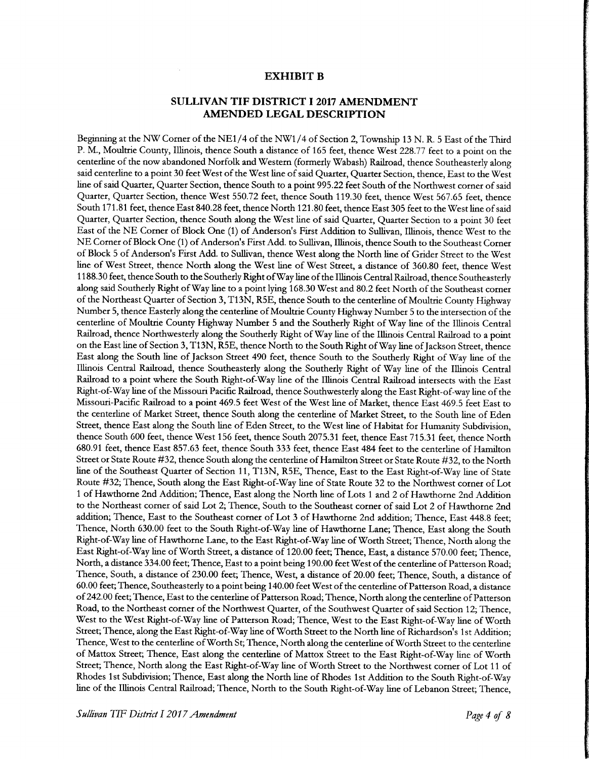#### EXHIBIT B

#### SULLIVAN TIF DISTRICT 12017 AMENDMENT AMENDED LEGAL DESCRIPTION

Beginning at the NW Corner of the NE1/4 of the NW1/4 of Section 2, Township 13 N. R. 5 East of the Third P. M., Moultrie County, Illinois, thence South <sup>a</sup> distance of 165 feet, thence West 228.77 feet to <sup>a</sup> point on the centerline of the now abandoned Norfolk and Western (formerly Wabash) Railroad, thence Southeasterly along said centerline to <sup>a</sup> point 30 feet West of the West line of said Quarter, Quarter Section, thence, East to the West line of said Quarter, Quarter Section, thence South to <sup>a</sup> point 995. 22 feet South of the Northwest corner of said Quarter, Quarter Section, thence West 550.72 feet, thence South 119.30 feet, thence West 567.65 feet, thence South 171. <sup>81</sup> feet, thence East 840.28 feet, thence North 121. 80 feet, thence East 305 feet to the West line of said Quarter, Quarter Section, thence South along the West line of said Quarter, Quarter Section to <sup>a</sup> point 30 feet East of the NE Corner of Block One (1) of Anderson's First Addition to Sullivan, Illinois, thence West to the NE Corner of Block One (1) of Anderson's First Add. to Sullivan, Illinois, thence South to the Southeast Corner of Block 5 of Anderson's First Add. to Sullivan, thence West along the North line of Grider Street to the West line of West Street, thence North along the West line of West Street, a distance of 360. 80 feet, thence West 1188.30 feet, thence South to the Southerly Right ofWay line ofthe Illinois Central Railroad, thence Southeasterly along said Southerly Right ofWay line to <sup>a</sup> point lying 168.30 West and 80. <sup>2</sup> feet North of the Southeast corner of the Northeast Quarter of Section 3, T13N, R5E, thence South to the centerline of Moultrie County Highway Number 5, thence Easterly along the centerline of Moultrie County Highway Number 5 to the intersection of the centerline of Moultrie County Highway Number <sup>5</sup> and the Southerly Right of Way line of the Illinois Central Railroad, thence Northwesterly along the Southerly Right of Way line of the Illinois Central Railroad to <sup>a</sup> point on the East line of Section 3, T13N, R5E, thence North to the South Right of Way line of Jackson Street, thence East along the South line of Jackson Street 490 feet, thence South to the Southerly Right of Way line of the Illinois Central Railroad, thence Southeasterly along the Southerly Right of Way line of the Illinois Central Railroad to <sup>a</sup> point where the South Right-of-Way line of the Illinois Central Railroad intersects with the East Right-of-Way line of the Missouri Pacific Railroad, thence Southwesterly along the East Right-of-way line of the Missouri-Pacific Railroad to <sup>a</sup> point 469. <sup>5</sup> feet West of the West line of Market, thence East 469. <sup>5</sup> feet East to the centerline of Market Street, thence South along the centerline of Market Street, to the South line of Eden Street, thence East along the South line of Eden Street, to the West line of Habitat for Humanity Subdivision, thence South 600 feet, thence West 156 feet, thence South 2075.31 feet, thence East 715.31 feet, thence North 680.91 feet, thence East 857. 63 feet, thence South 333 feet, thence East 484 feet to the centerline of Hamilton Street or State Route # 32, thence South along the centerline of Hamilton Street or State Route # 32, to the North line of the Southeast Quarter of Section 11, T13N, R5E, Thence, East to the East Right-of-Way line of State Route #32; Thence, South along the East Right-of-Way line of State Route 32 to the Northwest corner of Lot <sup>1</sup> of Hawthorne 2nd Addition; Thence, East along the North line of Lots <sup>1</sup> and <sup>2</sup> of Hawthorne 2nd Addition to the Northeast comer of said Lot 2; Thence, South to the Southeast corner of said Lot 2 of Hawthorne 2nd addition; Thence, East to the Southeast corner of Lot <sup>3</sup> of Hawthorne 2nd addition; Thence, East 448.8 feet; Thence, North 630.00 feet to the South Right-of-Way line of Hawthorne Lane; Thence, East along the South Right-of-Way line of Hawthorne Lane, to the East Right-of-Way line of Worth Street; Thence, North along the East Right-of-Way line of Worth Street, <sup>a</sup> distance of 120.00 feet; Thence, East, <sup>a</sup> distance 570.00 feet; Thence, North, <sup>a</sup> distance 334.00 feet; Thence, East to <sup>a</sup> point being 190.00 feet West of the centerline of Patterson Road; Thence, South, a distance of 230.00 feet; Thence, West, <sup>a</sup> distance of 20.00 feet; Thence, South, a distance of 60.00 feet; Thence, Southeasterly to <sup>a</sup> point being 140.00 feet West of the centerline ofPatterson Road, <sup>a</sup> distance of 242.00 feet; Thence, East to the centerline of Patterson Road; Thence, North along the centerline of Patterson Road, to the Northeast corner of the Northwest Quarter, of the Southwest Quarter of said Section 12; Thence, West to the West Right-of-Way line of Patterson Road; Thence, West to the East Right-of-Way line of Worth Street; Thence, along the East Right-of-Way line of Worth Street to the North line of Richardson's 1st Addition; Thence, West to the centerline ofWorth St; Thence, North along the centerline ofWorth Street to the centerline of Mattox Street; Thence, East along the centerline of Mattox Street to the East Right-of-Way line of Worth Street; Thence, North along the East Right-of-Way line of Worth Street to the Northwest corner of Lot <sup>11</sup> of Rhodes <sup>1</sup> st Subdivision; Thence, East along the North line of Rhodes <sup>1</sup> st Addition to the South Right-of-Way line of the Illinois Central Railroad; Thence, North to the South Right-of-Way line of Lebanon Street; Thence,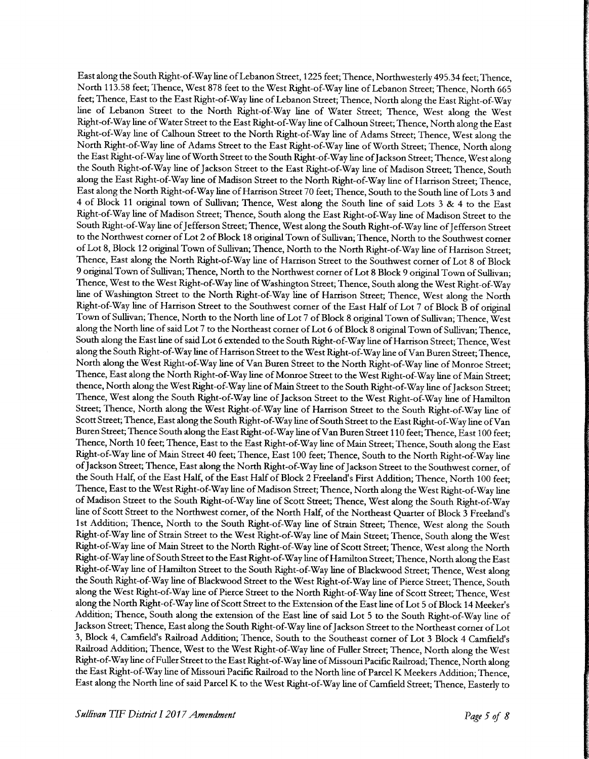East along the South Right-of-Way line ofLebanon Street, 1225 feet; Thence, Northwesterly 495.34 feet; Thence, North 113. 58 feet; Thence, West 878 feet to the West Right-of-Way line of Lebanon Street; Thence, North 665 feet; Thence, East to the East Right-of-Way line of Lebanon Street; Thence, North along the East Right-of-Way line of Lebanon Street to the North Right-of-Way line of Water Street; Thence, West along the West Right-of-Way line ofWater Street to the East Right-of-Way line of Calhoun Street; Thence, North along the East Right-of-Way line of Calhoun Street to the North Right-of-Way line of Adams Street; Thence, West along the North Right-of-Way line of Adams Street to the East Right-of-Way line of Worth Street; Thence, North along the East Right-of-Way line of Worth Street to the South Right-of-Way line of Jackson Street; Thence, West along the South Right-of-Way line of Jackson Street to the East Right-of-Way line of Madison Street; Thence, South along the East Right-of-Way line of Madison Street to the North Right-of-Way line of Harrison Street; Thence, East along the North Right-of-Way line of Harrison Street 70 feet; Thence, South to the South line of Lots 3 and <sup>4</sup> of Block <sup>11</sup> original town of Sullivan; Thence, West along the South line of said Lots 3 & <sup>4</sup> to the East Right-of-Way line of Madison Street; Thence, South along the East Right-of-Way line of Madison Street to the South Right-of-Way line of Jefferson Street; Thence, West along the South Right-of-Way line of Jefferson Street to the Northwest corner of Lot <sup>2</sup> of Block <sup>18</sup> original Town of Sullivan; Thence, North to the Southwest corner of Lot 8, Block <sup>12</sup> original Town of Sullivan; Thence, North to the North Right-of-Way line of Harrison Street; Thence, East along the North Right-of-Way line of Harrison Street to the Southwest corner of Lot <sup>8</sup> of Block <sup>9</sup> original Town of Sullivan; Thence, North to the Northwest corner of Lot <sup>8</sup> Block <sup>9</sup> original Town of Sullivan; Thence, West to the West Right-of-Way line of Washington Street; Thence, South along the West Right-of-Way line of Washington Street to the North Right-of-Way line of Harrison Street; Thence, West along the North Right-of-Way line of Harrison Street to the Southwest corner of the East Half of Lot <sup>7</sup> of Block B of original Town of Sullivan; Thence, North to the North line of Lot <sup>7</sup> of Block <sup>8</sup> original Town of Sullivan; Thence, West along the North line of said Lot <sup>7</sup> to the Northeast comer of Lot <sup>6</sup> of Block <sup>8</sup> original Town of Sullivan; Thence, South along the East line of said Lot 6 extended to the South Right-of-Way line of Harrison Street; Thence, West along the South Right-of-Way line of Harrison Street to the West Right-of-Way line of Van Buren Street; Thence, North along the West Right-of-Way line of Van Buren Street to the North Right-of-Way line of Monroe Street; Thence, East along the North Right-of-Way line of Monroe Street to the West Right-of-Way line of Main Street; thence, North along the West Right-of-Way line of Main Street to the South Right-of-Way line of Jackson Street; Thence, West along the South Right-of-Way line of Jackson Street to the West Right-of-Way line of Hamilton Street; Thence, North along the West Right-of-Way line of Harrison Street to the South Right-of-Way line of Scott Street; Thence, East along the South Right-of-Way line of South Street to the East Right-of-Way line of Van Buren Street; Thence South along the East Right-of-Way line of Van Buren Street 110 feet; Thence, East 100 feet; Thence, North 10 feet, Thence, East to the East Right-of-Way line of Main Street; Thence, South along the East Right-of-Way line of Main Street 40 feet; Thence, East 100 feet; Thence, South to the North Right-of-Way line of Jackson Street; Thence, East along the North Right-of-Way line of Jackson Street to the Southwest corner, of the South Half, of the East Half, of the East Half of Block 2 Freeland's First Addition; Thence, North 100 feet; Thence, East to the West Right-of-Way line of Madison Street; Thence, North along the West Right-of-Way line of Madison Street to the South Right-of-Way line of Scott Street; Thence, West along the South Right-of-Way line of Scott Street to the Northwest corner, of the North Half, of the Northeast Quarter of Block 3 Freeland's 1st Addition; Thence, North to the South Right-of-Way line of Strain Street; Thence, West along the South Right-of-Way line of Strain Street to the West Right-of-Way line of Main Street; Thence, South along the West Right-of-Way line of Main Street to the North Right-of-Way line of Scott Street; Thence, West along the North Right-of-Way line of South Street to the East Right-of-Way line of Hamilton Street; Thence, North along the East Right-of-Way line of Hamilton Street to the South Right-of-Way line of Blackwood Street; Thence, West along the South Right-of-Way line of Blackwood Street to the West Right-of-Way line of Pierce Street; Thence, South along the West Right-of-Way line of Pierce Street to the North Right-of-Way line of Scott Street; Thence, West along the North Right-of-Way line of Scott Street to the Extension of the East line of Lot 5 of Block 14 Meeker's Addition; Thence, South along the extension of the East line of said Lot <sup>5</sup> to the South Right-of-Way line of Jackson Street; Thence, East along the South Right-of-Way line of Jackson Street to the Northeast corner of Lot 3, Block 4, Camfield's Railroad Addition; Thence, South to the Southeast corner of Lot 3 Block 4 Camfield's Railroad Addition; Thence, West to the West Right-of-Way line of Fuller Street; Thence, North along the West Right-of-Way line of Fuller Street to the East Right-of-Way line of Missouri Pacific Railroad; Thence, North along the East Right-of-Way line of Missouri Pacific Railroad to the North line of Parcel K Meekers Addition; Thence, East along the North line of said Parcel K to the West Right-of-Way line of Camfield Street; Thence, Easterly to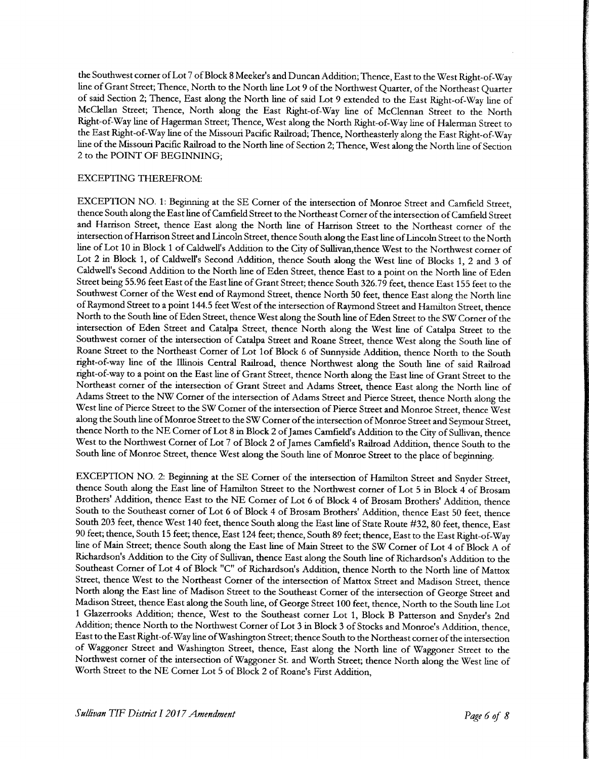the Southwest corner of Lot 7 of Block 8 Meeker's and Duncan Addition; Thence, East to the West Right-of-Way line of Grant Street; Thence, North to the North line Lot <sup>9</sup> of the Northwest Quarter, of the Northeast Quarter of said Section 2; Thence, East along the North line of said Lot <sup>9</sup> extended to the East Right-of-Way line of McClellan Street; Thence, North along the East Right-of-Way line of McClennan Street to the North Right-of-Way line of Hagerman Street; Thence, West along the North Right-of-Way line of Halerman Street to the East Right-of-Way line of the Missouri Pacific Railroad; Thence, Northeasterly along the East Right-of-Way line of the Missouri Pacific Railroad to the North line of Section 2; Thence, West along the North line of Section 2 to the POINT OF BEGINNING;

#### EXCEPTING THEREFROM:

EXCEPTION NO. 1: Beginning at the SE Corner of the intersection of Monroe Street and Camfield Street, thence South along the East line of Camfield Street to the Northeast Corner of the intersection of Camfield Street and Harrison Street, thence East along the North line of Harrison Street to the Northeast corner of the intersection ofHarrison Street and Lincoln Street, thence South along the East line ofLincoln Street to the North line of Lot 10 in Block 1 of Caldwell's Addition to the City of Sullivan, thence West to the Northwest corner of Lot <sup>2</sup> in Block 1, of Caldwell's Second Addition, thence South along the West line of Blocks 1, 2 and <sup>3</sup> of Caldwell's Second Addition to the North line of Eden Street, thence East to <sup>a</sup> point on the North line of Eden Street being 55.96 feet East of the East line of Grant Street; thence South 326. 79 feet, thence East 155 feet to the Southwest Comer of the West end of Raymond Street, thence North 50 feet, thence East along the North line of Raymond Street to <sup>a</sup> point 144.5 feet West of the intersection of Raymond Street and Hamilton Street, thence North to the South line of Eden Street, thence West along the South line of Eden Street to the SW Corner of the intersection of Eden Street and Catalpa Street, thence North along the West line of Catalpa Street to the Southwest corner of the intersection of Catalpa Street and Roane Street, thence West along the South line of Roane Street to the Northeast Corner of Lot lof Block <sup>6</sup> of Sunnyside Addition, thence North to the South right-of-way line of the Illinois Central Railroad, thence Northwest along the South line of said Railroad right-of-way to <sup>a</sup> point on the East line of Grant Street, thence North along the East line of Grant Street to the Northeast corner of the intersection of Grant Street and Adams Street, thence East along the North line of Adams Street to the NW Corner of the intersection of Adams Street and Pierce Street, thence North along the West line of Pierce Street to the SW Corner of the intersection of Pierce Street and Monroe Street, thence West along the South line of Monroe Street to the SW Corner of the intersection of Monroe Street and Seymour Street, thence North to the NE Corner of Lot <sup>8</sup> in Block <sup>2</sup> of James Camfield's Addition to the City of Sullivan, thence West to the Northwest Corner of Lot 7 of Block 2 of James Camfield's Railroad Addition, thence South to the South line of Monroe Street, thence West along the South line of Monroe Street to the place of beginning.

EXCEPTION NO. 2: Beginning at the SE Corner of the intersection of Hamilton Street and Snyder Street, thence South along the East line of Hamilton Street to the Northwest corner of Lot <sup>5</sup> in Block <sup>4</sup> of Brosam Brothers' Addition, thence East to the NE Corner of Lot <sup>6</sup> of Block 4 of Brosam Brothers' Addition, thence South to the Southeast comer of Lot <sup>6</sup> of Block 4 of Brosam Brothers' Addition, thence East 50 feet, thence South 203 feet, thence West 140 feet, thence South along the East line of State Route #32, 80 feet, thence, East 90 feet; thence, South 15 feet; thence, East 124 feet; thence, South 89 feet; thence, East to the East Right-of-Way line of Main Street; thence South along the East line of Main Street to the SW Comer of Lot <sup>4</sup> of Block A of Richardson's Addition to the City of Sullivan, thence East along the South line of Richardson's Addition to the Southeast Corner of Lot 4 of Block "C" of Richardson's Addition, thence North to the North line of Mattox Street, thence West to the Northeast Corner of the intersection of Mattox Street and Madison Street, thence North along the East line of Madison Street to the Southeast Corner of the intersection of George Street and Madison Street, thence East along the South line, of George Street 100 feet, thence, North to the South line Lot <sup>1</sup> Glazerrooks Addition; thence, West to the Southeast corner Lot 1, Block B Patterson and Snyder <sup>s</sup> 2nd Addition; thence North to the Northwest Corner of Lot 3 in Block 3 of Stocks and Monroe's Addition, thence, East to the East Right-of-Way line of Washington Street; thence South to the Northeast corner of the intersection of Waggoner Street and Washington Street, thence, East along the North line of Waggoner Street to the Northwest corner of the intersection of Waggoner St. and Worth Street; thence North along the West line of Worth Street to the NE Corner Lot 5 of Block 2 of Roane's First Addition,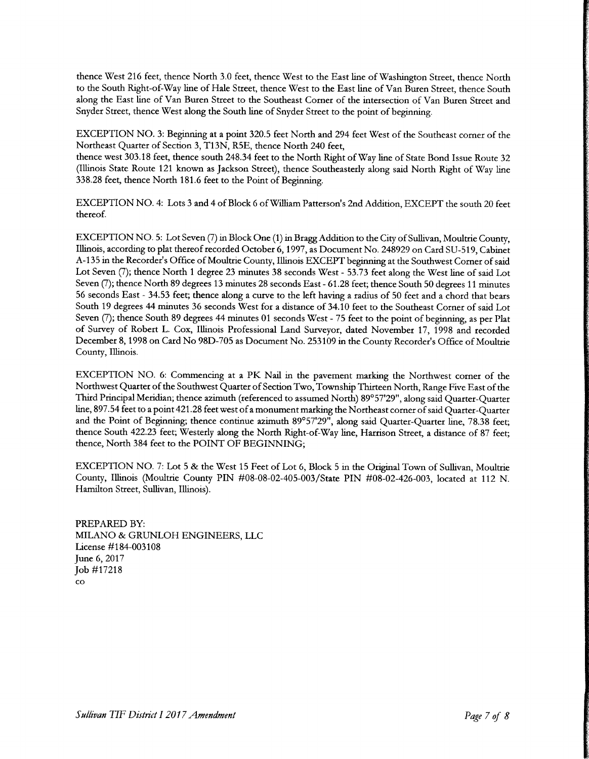thence West 216 feet, thence North 3.0 feet, thence West to the East line of Washington Street, thence North to the South Right-of-Way line of Hale Street, thence West to the East line of Van Buren Street, thence South along the East line of Van Buren Street to the Southeast Corner of the intersection of Van Buren Street and Snyder Street, thence West along the South line of Snyder Street to the point of beginning.

EXCEPTION NO. 3: Beginning at <sup>a</sup> point 320. <sup>5</sup> feet North and 294 feet West of the Southeast corner of the Northeast Quarter of Section 3, T13N, R5E, thence North 240 feet,

thence west 303. <sup>18</sup> feet, thence south 248.34 feet to the North Right of Way line of State Bond Issue Route 32 Illinois State Route <sup>121</sup> known as Jackson Street), thence Southeasterly along said North Right of Way line 338.28 feet, thence North 181. <sup>6</sup> feet to the Point of Beginning.

EXCEPTION NO. 4: Lots 3 and 4 of Block 6 of William Patterson's 2nd Addition, EXCEPT the south 20 feet thereof.

EXCEPTION NO. 5: Lot Seven (7) in Block One (1) in Bragg Addition to the City of Sullivan, Moultrie County, Illinois, according to plat thereof recorded October 6, 1997, as Document No. 248929 on Card SU-519, Cabinet A- 135 in the Recorder's Office of Moultrie County, Illinois EXCEPT beginning at the Southwest Corner of said Lot Seven (7); thence North 1 degree 23 minutes 38 seconds West - 53.73 feet along the West line of said Lot Seven( 7); thence North 89 degrees 13 minutes 28 seconds East- 61. 28 feet; thence South 50 degrees <sup>11</sup> minutes <sup>56</sup> seconds East- 34.53 feet; thence along <sup>a</sup> curve to the left having <sup>a</sup> radius of 50 feet and <sup>a</sup> chord that bears South 19 degrees 44 minutes 36 seconds West for <sup>a</sup> distance of 34.10 feet to the Southeast Corner of said Lot Seven (7); thence South 89 degrees 44 minutes 01 seconds West - 75 feet to the point of beginning, as per Plat of Survey of Robert L. Cox, Illinois Professional Land Surveyor, dated November 17, 1998 and recorded December 8, 1998 on Card No 98D-705 as Document No. 253109 in the County Recorder's Office of Moultrie County, Illinois.

EXCEPTION NO. 6: Commencing at <sup>a</sup> PK Nail in the pavement marking the Northwest comer of the Northwest Quarter of the Southwest Quarter of Section Two, Township Thirteen North, Range Five East of the Third Principal Meridian; thence azimuth (referenced to assumed North) 89°57'29", along said Quarter-Quarter line, 897. 54 feet to <sup>a</sup> point 421. 28 feet west ofa monument marking the Northeast corner of said Quarter-Quarter and the Point of Beginning; thence continue azimuth 89°57'29", along said Quarter-Quarter line, 78.38 feet; thence South 422. <sup>23</sup> feet; Westerly along the North Right-of-Way line, Harrison Street, a distance of 87 feet; thence, North 384 feet to the POINT OF BEGINNING;

EXCEPTION NO. 7: Lot 5& the West <sup>15</sup> Feet of Lot 6, Block <sup>5</sup> in the Original Town of Sullivan, Moultrie County, Illinois (Moultrie County PIN #08-08-02-405-003/State PIN #08-02-426-003, located at 112 N. Hamilton Street, Sullivan, Illinois).

PREPARED BY: MILANO& GRUNLOH ENGINEERS, LLC License #184-003108 June 6, 2017 Job # 17218 co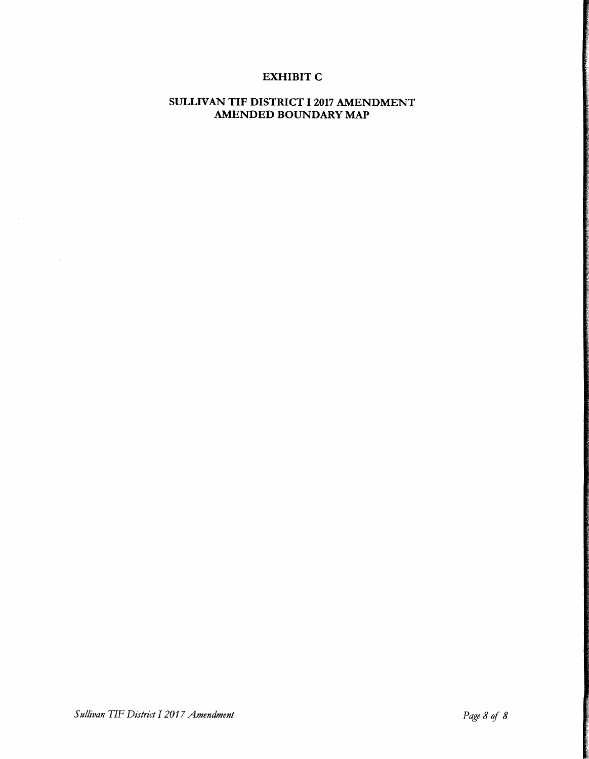### EXHIBIT C

### SULLIVAN TIF DISTRICT 12017 AMENDMENT AMENDED BOUNDARY MAP

 $\bar{\beta}$